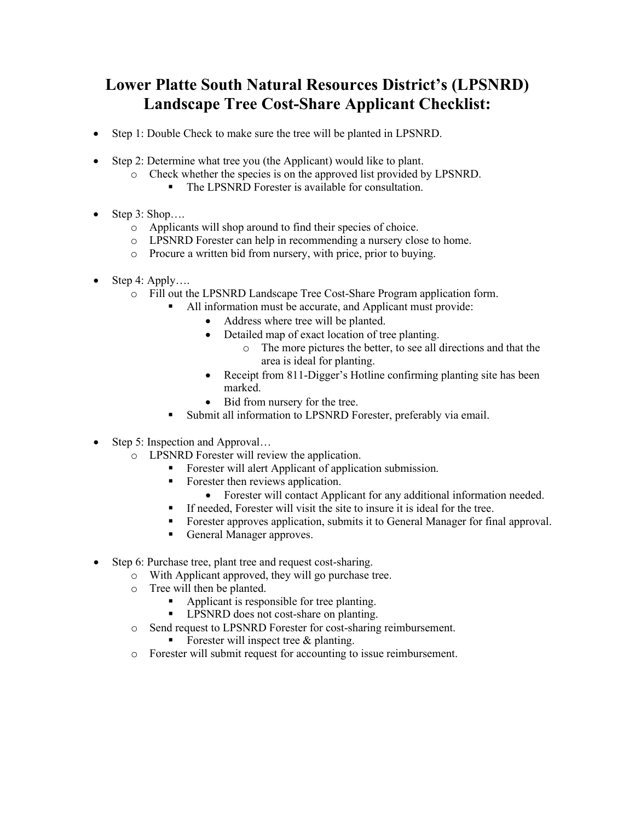## **Lower Platte South Natural Resources District's (LPSNRD) Landscape Tree Cost-Share Applicant Checklist:**

- Step 1: Double Check to make sure the tree will be planted in LPSNRD.
- Step 2: Determine what tree you (the Applicant) would like to plant.
	- o Check whether the species is on the approved list provided by LPSNRD.
		- The LPSNRD Forester is available for consultation.
- Step  $3:$  Shop....
	- o Applicants will shop around to find their species of choice.
	- o LPSNRD Forester can help in recommending a nursery close to home.
	- o Procure a written bid from nursery, with price, prior to buying.
- Step 4: Apply....
	- o Fill out the LPSNRD Landscape Tree Cost-Share Program application form.
		- All information must be accurate, and Applicant must provide:
			- Address where tree will be planted.
			- Detailed map of exact location of tree planting.
				- o The more pictures the better, to see all directions and that the area is ideal for planting.
			- Receipt from 811-Digger's Hotline confirming planting site has been marked.
			- Bid from nursery for the tree.
		- Submit all information to LPSNRD Forester, preferably via email.
- Step 5: Inspection and Approval...
	- o LPSNRD Forester will review the application.
		- Forester will alert Applicant of application submission.
		- Forester then reviews application.
			- Forester will contact Applicant for any additional information needed.
		- If needed, Forester will visit the site to insure it is ideal for the tree.
		- Forester approves application, submits it to General Manager for final approval.
		- General Manager approves.
- Step 6: Purchase tree, plant tree and request cost-sharing.
	- o With Applicant approved, they will go purchase tree.
	- o Tree will then be planted.
		- Applicant is responsible for tree planting.
		- **IDENRIT 1** LPSNRD does not cost-share on planting.
	- o Send request to LPSNRD Forester for cost-sharing reimbursement.
		- Forester will inspect tree & planting.
	- o Forester will submit request for accounting to issue reimbursement.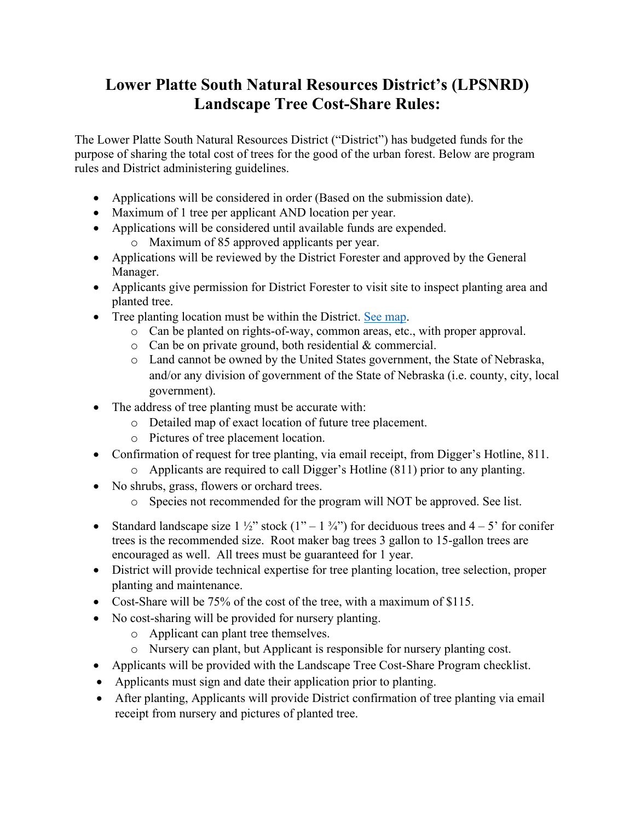## **Lower Platte South Natural Resources District's (LPSNRD) Landscape Tree Cost-Share Rules:**

The Lower Platte South Natural Resources District ("District") has budgeted funds for the purpose of sharing the total cost of trees for the good of the urban forest. Below are program rules and District administering guidelines.

- Applications will be considered in order (Based on the submission date).
- Maximum of 1 tree per applicant AND location per year.
- Applications will be considered until available funds are expended.
	- o Maximum of 85 approved applicants per year.
- Applications will be reviewed by the District Forester and approved by the General Manager.
- Applicants give permission for District Forester to visit site to inspect planting area and planted tree.
- Tree planting location must be within the District. [See map.](https://lpsnrd.maps.arcgis.com/apps/PublicInformation/index.html?appid=c88f3aba6e084e99b280f99704b4f747)
	- o Can be planted on rights-of-way, common areas, etc., with proper approval.
	- o Can be on private ground, both residential & commercial.
	- o Land cannot be owned by the United States government, the State of Nebraska, and/or any division of government of the State of Nebraska (i.e. county, city, local government).
- The address of tree planting must be accurate with:
	- o Detailed map of exact location of future tree placement.
	- o Pictures of tree placement location.
- Confirmation of request for tree planting, via email receipt, from Digger's Hotline, 811.
	- o Applicants are required to call Digger's Hotline (811) prior to any planting.
- No shrubs, grass, flowers or orchard trees.
	- o Species not recommended for the program will NOT be approved. See list.
- Standard landscape size  $1\frac{1}{2}$ " stock  $(1 1\frac{3}{4})$  for deciduous trees and  $4 5$ " for conifer trees is the recommended size. Root maker bag trees 3 gallon to 15-gallon trees are encouraged as well. All trees must be guaranteed for 1 year.
- District will provide technical expertise for tree planting location, tree selection, proper planting and maintenance.
- Cost-Share will be 75% of the cost of the tree, with a maximum of \$115.
- No cost-sharing will be provided for nursery planting.
	- o Applicant can plant tree themselves.
	- o Nursery can plant, but Applicant is responsible for nursery planting cost.
- Applicants will be provided with the Landscape Tree Cost-Share Program checklist.
- Applicants must sign and date their application prior to planting.
- After planting, Applicants will provide District confirmation of tree planting via email receipt from nursery and pictures of planted tree.